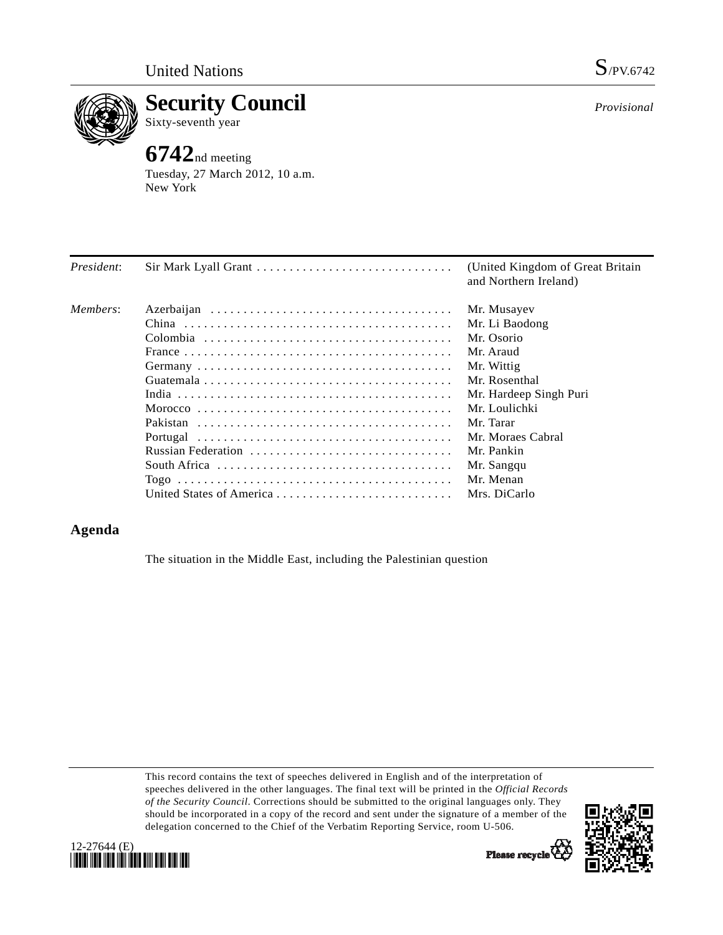

**Security Council**  Sixty-seventh year

## **6742**nd meeting

Tuesday, 27 March 2012, 10 a.m. New York

| President: | Sir Mark Lyall Grant     | (United Kingdom of Great Britain)<br>and Northern Ireland) |
|------------|--------------------------|------------------------------------------------------------|
| Members:   |                          | Mr. Musayev                                                |
|            |                          | Mr. Li Baodong                                             |
|            |                          | Mr. Osorio                                                 |
|            |                          | Mr. Araud                                                  |
|            |                          | Mr. Wittig                                                 |
|            |                          | Mr. Rosenthal                                              |
|            |                          | Mr. Hardeep Singh Puri                                     |
|            |                          | Mr. Loulichki                                              |
|            |                          | Mr. Tarar                                                  |
|            |                          | Mr. Moraes Cabral                                          |
|            | Russian Federation       | Mr. Pankin                                                 |
|            |                          | Mr. Sangqu                                                 |
|            |                          | Mr. Menan                                                  |
|            | United States of America | Mrs. DiCarlo                                               |

## **Agenda**

The situation in the Middle East, including the Palestinian question

This record contains the text of speeches delivered in English and of the interpretation of speeches delivered in the other languages. The final text will be printed in the *Official Records of the Security Council*. Corrections should be submitted to the original languages only. They should be incorporated in a copy of the record and sent under the signature of a member of the delegation concerned to the Chief of the Verbatim Reporting Service, room U-506.



*Provisional*



Please recycle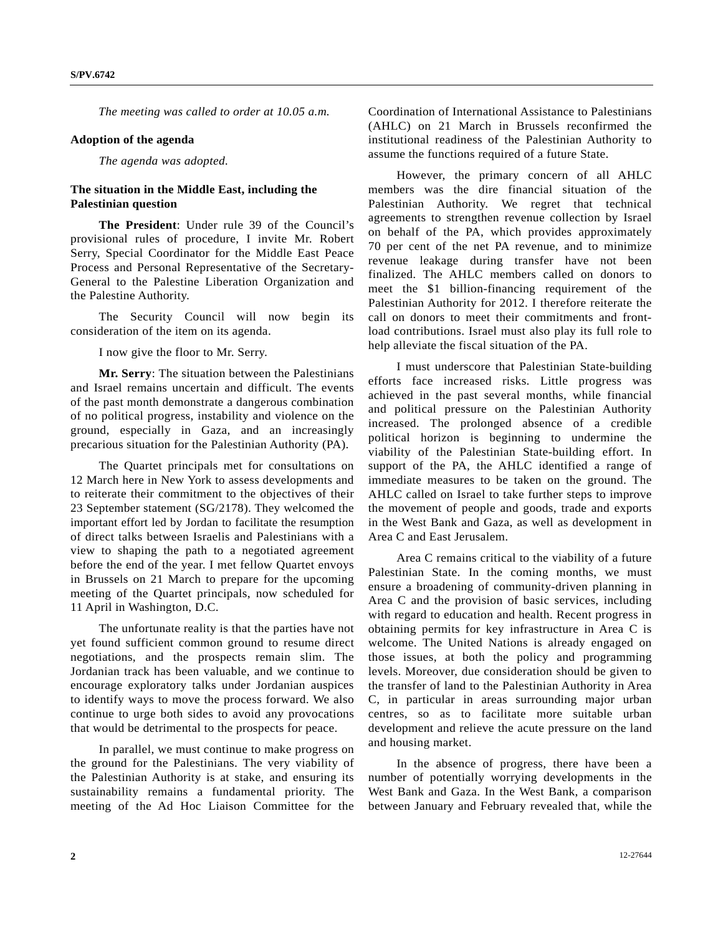*The meeting was called to order at 10.05 a.m.* 

## **Adoption of the agenda**

*The agenda was adopted.* 

## **The situation in the Middle East, including the Palestinian question**

**The President**: Under rule 39 of the Council's provisional rules of procedure, I invite Mr. Robert Serry, Special Coordinator for the Middle East Peace Process and Personal Representative of the Secretary-General to the Palestine Liberation Organization and the Palestine Authority.

 The Security Council will now begin its consideration of the item on its agenda.

I now give the floor to Mr. Serry.

 **Mr. Serry**: The situation between the Palestinians and Israel remains uncertain and difficult. The events of the past month demonstrate a dangerous combination of no political progress, instability and violence on the ground, especially in Gaza, and an increasingly precarious situation for the Palestinian Authority (PA).

 The Quartet principals met for consultations on 12 March here in New York to assess developments and to reiterate their commitment to the objectives of their 23 September statement (SG/2178). They welcomed the important effort led by Jordan to facilitate the resumption of direct talks between Israelis and Palestinians with a view to shaping the path to a negotiated agreement before the end of the year. I met fellow Quartet envoys in Brussels on 21 March to prepare for the upcoming meeting of the Quartet principals, now scheduled for 11 April in Washington, D.C.

 The unfortunate reality is that the parties have not yet found sufficient common ground to resume direct negotiations, and the prospects remain slim. The Jordanian track has been valuable, and we continue to encourage exploratory talks under Jordanian auspices to identify ways to move the process forward. We also continue to urge both sides to avoid any provocations that would be detrimental to the prospects for peace.

 In parallel, we must continue to make progress on the ground for the Palestinians. The very viability of the Palestinian Authority is at stake, and ensuring its sustainability remains a fundamental priority. The meeting of the Ad Hoc Liaison Committee for the

Coordination of International Assistance to Palestinians (AHLC) on 21 March in Brussels reconfirmed the institutional readiness of the Palestinian Authority to assume the functions required of a future State.

 However, the primary concern of all AHLC members was the dire financial situation of the Palestinian Authority. We regret that technical agreements to strengthen revenue collection by Israel on behalf of the PA, which provides approximately 70 per cent of the net PA revenue, and to minimize revenue leakage during transfer have not been finalized. The AHLC members called on donors to meet the \$1 billion-financing requirement of the Palestinian Authority for 2012. I therefore reiterate the call on donors to meet their commitments and frontload contributions. Israel must also play its full role to help alleviate the fiscal situation of the PA.

 I must underscore that Palestinian State-building efforts face increased risks. Little progress was achieved in the past several months, while financial and political pressure on the Palestinian Authority increased. The prolonged absence of a credible political horizon is beginning to undermine the viability of the Palestinian State-building effort. In support of the PA, the AHLC identified a range of immediate measures to be taken on the ground. The AHLC called on Israel to take further steps to improve the movement of people and goods, trade and exports in the West Bank and Gaza, as well as development in Area C and East Jerusalem.

 Area C remains critical to the viability of a future Palestinian State. In the coming months, we must ensure a broadening of community-driven planning in Area C and the provision of basic services, including with regard to education and health. Recent progress in obtaining permits for key infrastructure in Area C is welcome. The United Nations is already engaged on those issues, at both the policy and programming levels. Moreover, due consideration should be given to the transfer of land to the Palestinian Authority in Area C, in particular in areas surrounding major urban centres, so as to facilitate more suitable urban development and relieve the acute pressure on the land and housing market.

 In the absence of progress, there have been a number of potentially worrying developments in the West Bank and Gaza. In the West Bank, a comparison between January and February revealed that, while the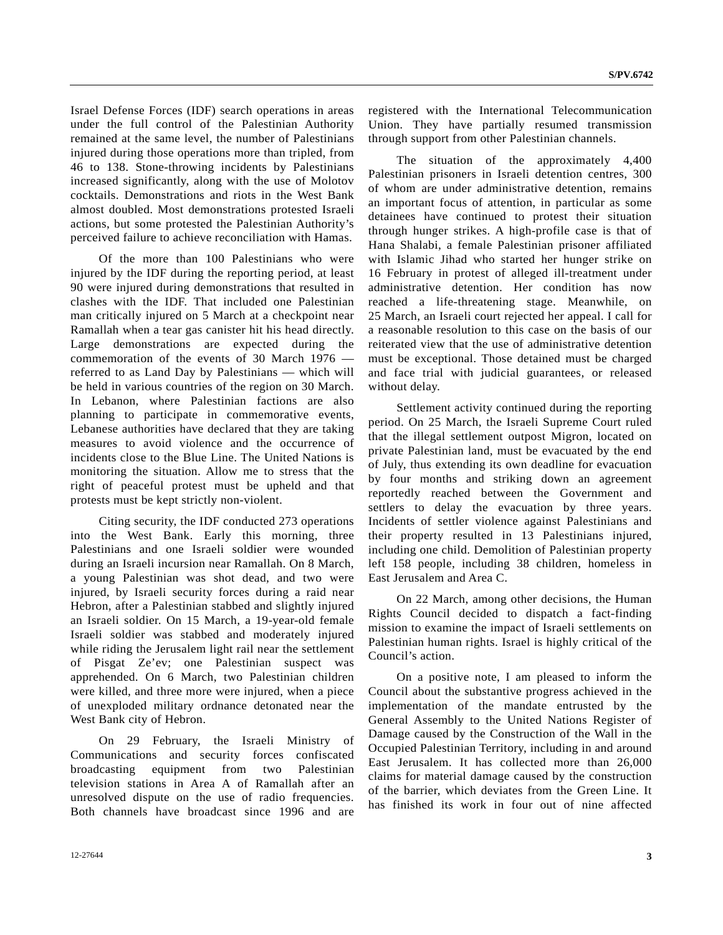Israel Defense Forces (IDF) search operations in areas under the full control of the Palestinian Authority remained at the same level, the number of Palestinians injured during those operations more than tripled, from 46 to 138. Stone-throwing incidents by Palestinians increased significantly, along with the use of Molotov cocktails. Demonstrations and riots in the West Bank almost doubled. Most demonstrations protested Israeli actions, but some protested the Palestinian Authority's perceived failure to achieve reconciliation with Hamas.

 Of the more than 100 Palestinians who were injured by the IDF during the reporting period, at least 90 were injured during demonstrations that resulted in clashes with the IDF. That included one Palestinian man critically injured on 5 March at a checkpoint near Ramallah when a tear gas canister hit his head directly. Large demonstrations are expected during the commemoration of the events of 30 March 1976 referred to as Land Day by Palestinians — which will be held in various countries of the region on 30 March. In Lebanon, where Palestinian factions are also planning to participate in commemorative events, Lebanese authorities have declared that they are taking measures to avoid violence and the occurrence of incidents close to the Blue Line. The United Nations is monitoring the situation. Allow me to stress that the right of peaceful protest must be upheld and that protests must be kept strictly non-violent.

 Citing security, the IDF conducted 273 operations into the West Bank. Early this morning, three Palestinians and one Israeli soldier were wounded during an Israeli incursion near Ramallah. On 8 March, a young Palestinian was shot dead, and two were injured, by Israeli security forces during a raid near Hebron, after a Palestinian stabbed and slightly injured an Israeli soldier. On 15 March, a 19-year-old female Israeli soldier was stabbed and moderately injured while riding the Jerusalem light rail near the settlement of Pisgat Ze'ev; one Palestinian suspect was apprehended. On 6 March, two Palestinian children were killed, and three more were injured, when a piece of unexploded military ordnance detonated near the West Bank city of Hebron.

 On 29 February, the Israeli Ministry of Communications and security forces confiscated broadcasting equipment from two Palestinian television stations in Area A of Ramallah after an unresolved dispute on the use of radio frequencies. Both channels have broadcast since 1996 and are registered with the International Telecommunication Union. They have partially resumed transmission through support from other Palestinian channels.

 The situation of the approximately 4,400 Palestinian prisoners in Israeli detention centres, 300 of whom are under administrative detention, remains an important focus of attention, in particular as some detainees have continued to protest their situation through hunger strikes. A high-profile case is that of Hana Shalabi, a female Palestinian prisoner affiliated with Islamic Jihad who started her hunger strike on 16 February in protest of alleged ill-treatment under administrative detention. Her condition has now reached a life-threatening stage. Meanwhile, on 25 March, an Israeli court rejected her appeal. I call for a reasonable resolution to this case on the basis of our reiterated view that the use of administrative detention must be exceptional. Those detained must be charged and face trial with judicial guarantees, or released without delay.

 Settlement activity continued during the reporting period. On 25 March, the Israeli Supreme Court ruled that the illegal settlement outpost Migron, located on private Palestinian land, must be evacuated by the end of July, thus extending its own deadline for evacuation by four months and striking down an agreement reportedly reached between the Government and settlers to delay the evacuation by three years. Incidents of settler violence against Palestinians and their property resulted in 13 Palestinians injured, including one child. Demolition of Palestinian property left 158 people, including 38 children, homeless in East Jerusalem and Area C.

 On 22 March, among other decisions, the Human Rights Council decided to dispatch a fact-finding mission to examine the impact of Israeli settlements on Palestinian human rights. Israel is highly critical of the Council's action.

 On a positive note, I am pleased to inform the Council about the substantive progress achieved in the implementation of the mandate entrusted by the General Assembly to the United Nations Register of Damage caused by the Construction of the Wall in the Occupied Palestinian Territory, including in and around East Jerusalem. It has collected more than 26,000 claims for material damage caused by the construction of the barrier, which deviates from the Green Line. It has finished its work in four out of nine affected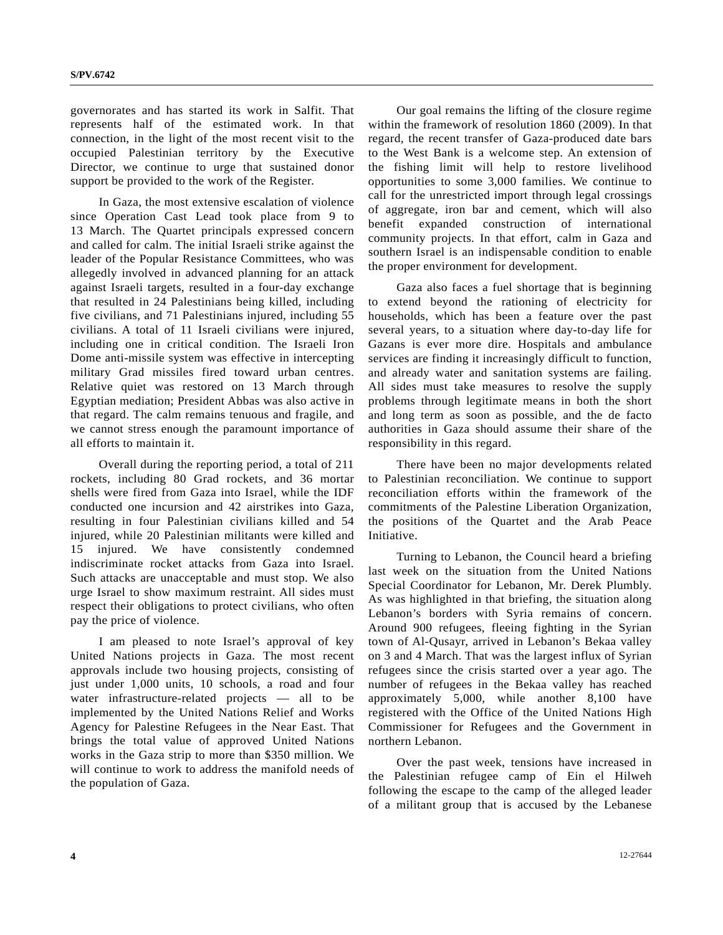governorates and has started its work in Salfit. That represents half of the estimated work. In that connection, in the light of the most recent visit to the occupied Palestinian territory by the Executive Director, we continue to urge that sustained donor support be provided to the work of the Register.

In Gaza, the most extensive escalation of violence since Operation Cast Lead took place from 9 to 13 March. The Quartet principals expressed concern and called for calm. The initial Israeli strike against the leader of the Popular Resistance Committees, who was allegedly involved in advanced planning for an attack against Israeli targets, resulted in a four-day exchange that resulted in 24 Palestinians being killed, including five civilians, and 71 Palestinians injured, including 55 civilians. A total of 11 Israeli civilians were injured, including one in critical condition. The Israeli Iron Dome anti-missile system was effective in intercepting military Grad missiles fired toward urban centres. Relative quiet was restored on 13 March through Egyptian mediation; President Abbas was also active in that regard. The calm remains tenuous and fragile, and we cannot stress enough the paramount importance of all efforts to maintain it.

 Overall during the reporting period, a total of 211 rockets, including 80 Grad rockets, and 36 mortar shells were fired from Gaza into Israel, while the IDF conducted one incursion and 42 airstrikes into Gaza, resulting in four Palestinian civilians killed and 54 injured, while 20 Palestinian militants were killed and 15 injured. We have consistently condemned indiscriminate rocket attacks from Gaza into Israel. Such attacks are unacceptable and must stop. We also urge Israel to show maximum restraint. All sides must respect their obligations to protect civilians, who often pay the price of violence.

 I am pleased to note Israel's approval of key United Nations projects in Gaza. The most recent approvals include two housing projects, consisting of just under 1,000 units, 10 schools, a road and four water infrastructure-related projects — all to be implemented by the United Nations Relief and Works Agency for Palestine Refugees in the Near East. That brings the total value of approved United Nations works in the Gaza strip to more than \$350 million. We will continue to work to address the manifold needs of the population of Gaza.

 Our goal remains the lifting of the closure regime within the framework of resolution 1860 (2009). In that regard, the recent transfer of Gaza-produced date bars to the West Bank is a welcome step. An extension of the fishing limit will help to restore livelihood opportunities to some 3,000 families. We continue to call for the unrestricted import through legal crossings of aggregate, iron bar and cement, which will also benefit expanded construction of international community projects. In that effort, calm in Gaza and southern Israel is an indispensable condition to enable the proper environment for development.

 Gaza also faces a fuel shortage that is beginning to extend beyond the rationing of electricity for households, which has been a feature over the past several years, to a situation where day-to-day life for Gazans is ever more dire. Hospitals and ambulance services are finding it increasingly difficult to function, and already water and sanitation systems are failing. All sides must take measures to resolve the supply problems through legitimate means in both the short and long term as soon as possible, and the de facto authorities in Gaza should assume their share of the responsibility in this regard.

 There have been no major developments related to Palestinian reconciliation. We continue to support reconciliation efforts within the framework of the commitments of the Palestine Liberation Organization, the positions of the Quartet and the Arab Peace Initiative.

 Turning to Lebanon, the Council heard a briefing last week on the situation from the United Nations Special Coordinator for Lebanon, Mr. Derek Plumbly. As was highlighted in that briefing, the situation along Lebanon's borders with Syria remains of concern. Around 900 refugees, fleeing fighting in the Syrian town of Al-Qusayr, arrived in Lebanon's Bekaa valley on 3 and 4 March. That was the largest influx of Syrian refugees since the crisis started over a year ago. The number of refugees in the Bekaa valley has reached approximately 5,000, while another 8,100 have registered with the Office of the United Nations High Commissioner for Refugees and the Government in northern Lebanon.

 Over the past week, tensions have increased in the Palestinian refugee camp of Ein el Hilweh following the escape to the camp of the alleged leader of a militant group that is accused by the Lebanese